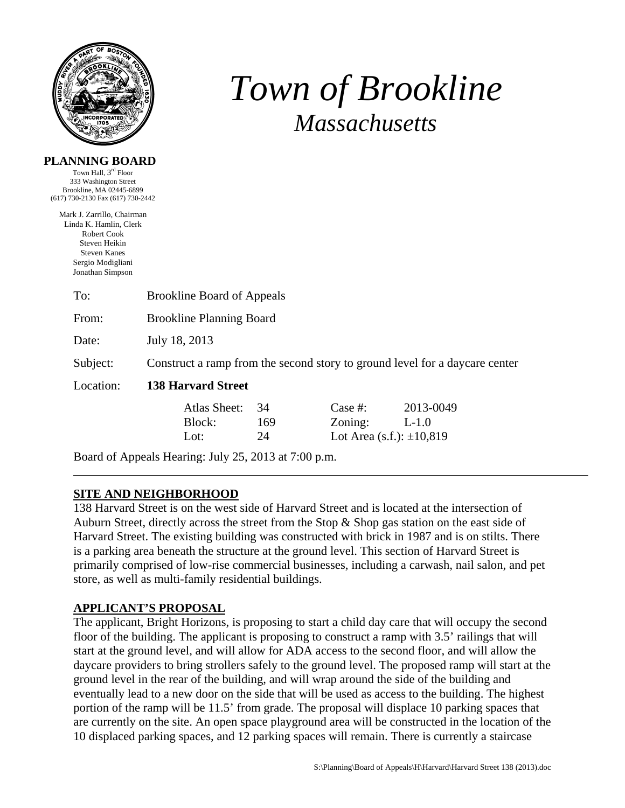

# *Town of Brookline Massachusetts*

|  |  |  | PLANNING BOARD |  |
|--|--|--|----------------|--|
|  |  |  |                |  |

Town Hall, 3rd Floor 333 Washington Street Brookline, MA 02445-6899 (617) 730-2130 Fax (617) 730-2442

Mark J. Zarrillo, Chairman Linda K. Hamlin, Clerk Robert Cook Steven Heikin Steven Kanes Sergio Modigliani Jonathan Simpson

| To:       | <b>Brookline Board of Appeals</b>                                           |     |                                  |           |  |  |  |
|-----------|-----------------------------------------------------------------------------|-----|----------------------------------|-----------|--|--|--|
| From:     | <b>Brookline Planning Board</b>                                             |     |                                  |           |  |  |  |
| Date:     | July 18, 2013                                                               |     |                                  |           |  |  |  |
| Subject:  | Construct a ramp from the second story to ground level for a daycare center |     |                                  |           |  |  |  |
| Location: | <b>138 Harvard Street</b>                                                   |     |                                  |           |  |  |  |
|           | Atlas Sheet:                                                                | 34  | Case #:                          | 2013-0049 |  |  |  |
|           | Block:                                                                      | 169 | Zoning:                          | $L-1.0$   |  |  |  |
|           | Lot:                                                                        | 24  | Lot Area $(s.f.)$ : $\pm 10,819$ |           |  |  |  |

Board of Appeals Hearing: July 25, 2013 at 7:00 p.m.

# **SITE AND NEIGHBORHOOD**

138 Harvard Street is on the west side of Harvard Street and is located at the intersection of Auburn Street, directly across the street from the Stop & Shop gas station on the east side of Harvard Street. The existing building was constructed with brick in 1987 and is on stilts. There is a parking area beneath the structure at the ground level. This section of Harvard Street is primarily comprised of low-rise commercial businesses, including a carwash, nail salon, and pet store, as well as multi-family residential buildings.

# **APPLICANT'S PROPOSAL**

The applicant, Bright Horizons, is proposing to start a child day care that will occupy the second floor of the building. The applicant is proposing to construct a ramp with 3.5' railings that will start at the ground level, and will allow for ADA access to the second floor, and will allow the daycare providers to bring strollers safely to the ground level. The proposed ramp will start at the ground level in the rear of the building, and will wrap around the side of the building and eventually lead to a new door on the side that will be used as access to the building. The highest portion of the ramp will be 11.5' from grade. The proposal will displace 10 parking spaces that are currently on the site. An open space playground area will be constructed in the location of the 10 displaced parking spaces, and 12 parking spaces will remain. There is currently a staircase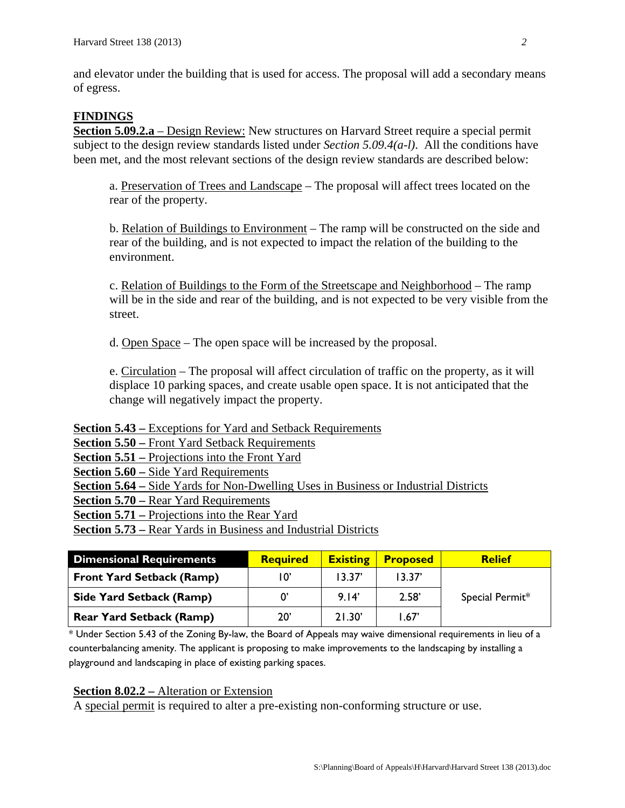and elevator under the building that is used for access. The proposal will add a secondary means of egress.

## **FINDINGS**

**Section 5.09.2.a** – Design Review: New structures on Harvard Street require a special permit subject to the design review standards listed under *Section 5.09.4(a-l)*. All the conditions have been met, and the most relevant sections of the design review standards are described below:

a. Preservation of Trees and Landscape – The proposal will affect trees located on the rear of the property.

b. Relation of Buildings to Environment – The ramp will be constructed on the side and rear of the building, and is not expected to impact the relation of the building to the environment.

c. Relation of Buildings to the Form of the Streetscape and Neighborhood – The ramp will be in the side and rear of the building, and is not expected to be very visible from the street.

d. Open Space – The open space will be increased by the proposal.

e. Circulation – The proposal will affect circulation of traffic on the property, as it will displace 10 parking spaces, and create usable open space. It is not anticipated that the change will negatively impact the property.

**Section 5.43 –** Exceptions for Yard and Setback Requirements

**Section 5.50 –** Front Yard Setback Requirements

**Section 5.51 –** Projections into the Front Yard

**Section 5.60 –** Side Yard Requirements

**Section 5.64 –** Side Yards for Non-Dwelling Uses in Business or Industrial Districts

**Section 5.70 –** Rear Yard Requirements

**Section 5.71 –** Projections into the Rear Yard

**Section 5.73 –** Rear Yards in Business and Industrial Districts

| <b>Dimensional Requirements</b>  | <b>Required</b> | <b>Existing</b> | <b>Proposed</b> | <b>Relief</b>   |
|----------------------------------|-----------------|-----------------|-----------------|-----------------|
| <b>Front Yard Setback (Ramp)</b> | 10'             | 13.37'          | 13.37'          |                 |
| <b>Side Yard Setback (Ramp)</b>  |                 | 9.14'           | 2.58'           | Special Permit* |
| <b>Rear Yard Setback (Ramp)</b>  | $20^{\circ}$    | 21.30'          | 1.67            |                 |

\* Under Section 5.43 of the Zoning By-law, the Board of Appeals may waive dimensional requirements in lieu of a counterbalancing amenity. The applicant is proposing to make improvements to the landscaping by installing a playground and landscaping in place of existing parking spaces.

#### **Section 8.02.2 –** Alteration or Extension

A special permit is required to alter a pre-existing non-conforming structure or use.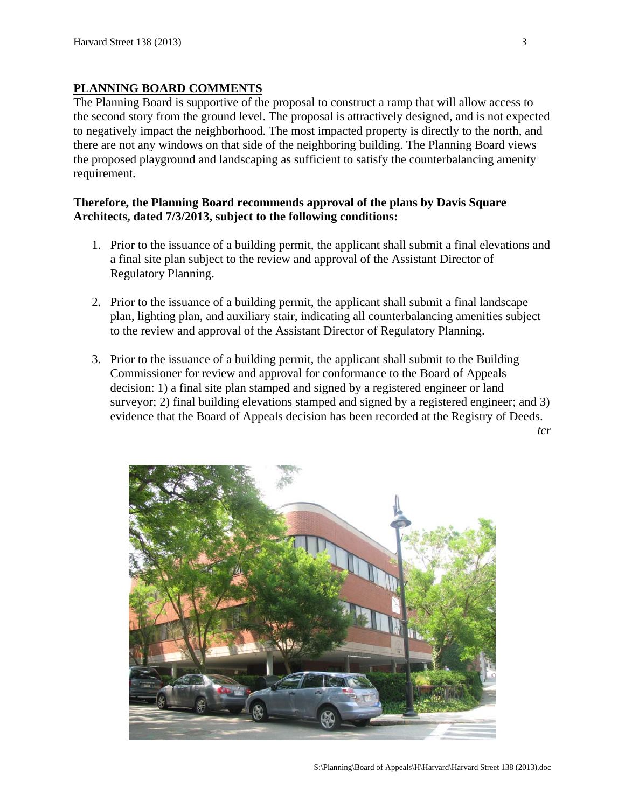## **PLANNING BOARD COMMENTS**

The Planning Board is supportive of the proposal to construct a ramp that will allow access to the second story from the ground level. The proposal is attractively designed, and is not expected to negatively impact the neighborhood. The most impacted property is directly to the north, and there are not any windows on that side of the neighboring building. The Planning Board views the proposed playground and landscaping as sufficient to satisfy the counterbalancing amenity requirement.

## **Therefore, the Planning Board recommends approval of the plans by Davis Square Architects, dated 7/3/2013, subject to the following conditions:**

- 1. Prior to the issuance of a building permit, the applicant shall submit a final elevations and a final site plan subject to the review and approval of the Assistant Director of Regulatory Planning.
- 2. Prior to the issuance of a building permit, the applicant shall submit a final landscape plan, lighting plan, and auxiliary stair, indicating all counterbalancing amenities subject to the review and approval of the Assistant Director of Regulatory Planning.
- 3. Prior to the issuance of a building permit, the applicant shall submit to the Building Commissioner for review and approval for conformance to the Board of Appeals decision: 1) a final site plan stamped and signed by a registered engineer or land surveyor; 2) final building elevations stamped and signed by a registered engineer; and 3) evidence that the Board of Appeals decision has been recorded at the Registry of Deeds.

*tcr* 

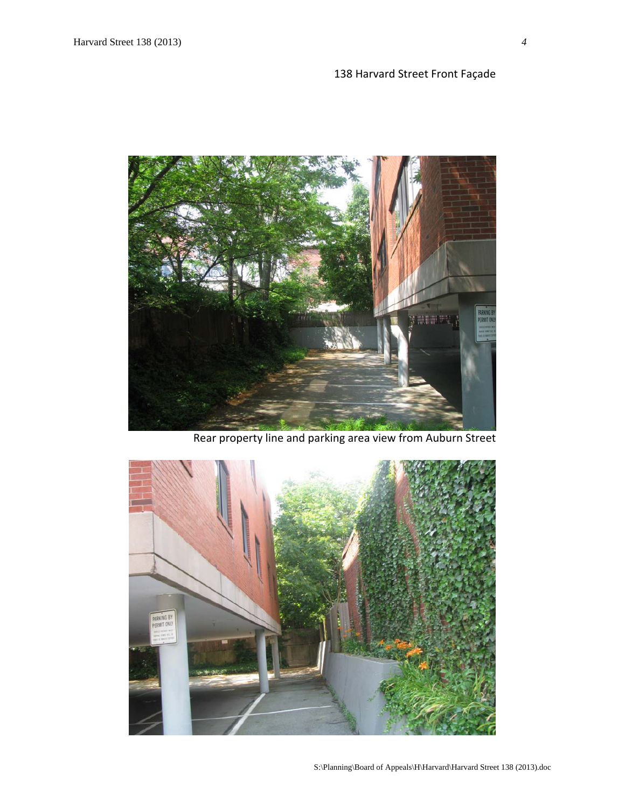# 138 Harvard Street Front Façade



Rear property line and parking area view from Auburn Street